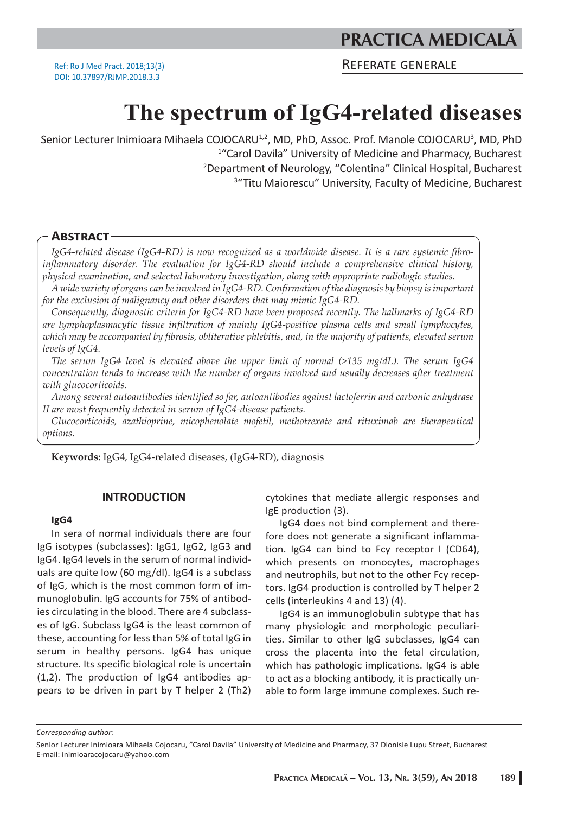**PRACTICA MEDICAL** 

Ref: Ro J Med Pract. 2018;13(3) DOI: 10.37897/RJMP.2018.3.3

REFERATE GENERALE

# **The spectrum of IgG4-related diseases**

Senior Lecturer Inimioara Mihaela COJOCARU<sup>1,2</sup>, MD, PhD, Assoc. Prof. Manole COJOCARU<sup>3</sup>, MD, PhD<br><sup>14</sup>Carol Davila<sup>n</sup> University of Medicine and Pharmacy Bucharest <sup>1</sup>"Carol Davila" University of Medicine and Pharmacy, Bucharest 2 Department of Neurology, "Colentina" Clinical Hospital, Bucharest <sup>3</sup>"Titu Maiorescu" University, Faculty of Medicine, Bucharest

# **ABSTRACT**

*IgG4-related disease (IgG4-RD) is now recognized as a worldwide disease. It is a rare systemic fibroinflammatory disorder. The evaluation for IgG4-RD should include a comprehensive clinical history, physical examination, and selected laboratory investigation, along with appropriate radiologic studies.* 

*A wide variety of organs can be involved in IgG4-RD. Confirmation of the diagnosis by biopsy is important for the exclusion of malignancy and other disorders that may mimic IgG4-RD.* 

*Consequently, diagnostic criteria for IgG4-RD have been proposed recently. The hallmarks of IgG4-RD are lymphoplasmacytic tissue infiltration of mainly IgG4-positive plasma cells and small lymphocytes, which may be accompanied by fibrosis, obliterative phlebitis, and, in the majority of patients, elevated serum levels of IgG4.*

*The serum IgG4 level is elevated above the upper limit of normal (>135 mg/dL). The serum IgG4 concentration tends to increase with the number of organs involved and usually decreases after treatment with glucocorticoids.*

*Among several autoantibodies identified so far, autoantibodies against lactoferrin and carbonic anhydrase II are most frequently detected in serum of IgG4-disease patients.* 

*Glucocorticoids, azathioprine, micophenolate mofetil, methotrexate and rituximab are therapeutical options.* 

**Keywords:** IgG4, IgG4-related diseases, (IgG4-RD), diagnosis

## **INTRODUCTION**

#### **IgG4**

In sera of normal individuals there are four IgG isotypes (subclasses): IgG1, IgG2, IgG3 and IgG4. IgG4 levels in the serum of normal individuals are quite low (60 mg/dl). IgG4 is a subclass of IgG, which is the most common form of immunoglobulin. IgG accounts for 75% of antibodies circulating in the blood. There are 4 subclasses of IgG. Subclass IgG4 is the least common of these, accounting for less than 5% of total IgG in serum in healthy persons. IgG4 has unique structure. Its specific biological role is uncertain (1,2). The production of IgG4 antibodies appears to be driven in part by T helper 2 (Th2) cytokines that mediate allergic responses and IgE production (3).

IgG4 does not bind complement and therefore does not generate a significant inflammation. IgG4 can bind to Fcy receptor I (CD64), which presents on monocytes, macrophages and neutrophils, but not to the other Fcy receptors. IgG4 production is controlled by T helper 2 cells (interleukins 4 and 13) (4).

IgG4 is an immunoglobulin subtype that has many physiologic and morphologic peculiarities. Similar to other IgG subclasses, IgG4 can cross the placenta into the fetal circulation, which has pathologic implications. IgG4 is able to act as a blocking antibody, it is practically unable to form large immune complexes. Such re-

*Corresponding author:* 

Senior Lecturer Inimioara Mihaela Cojocaru, "Carol Davila" University of Medicine and Pharmacy, 37 Dionisie Lupu Street, Bucharest E-mail: inimioaracojocaru@yahoo.com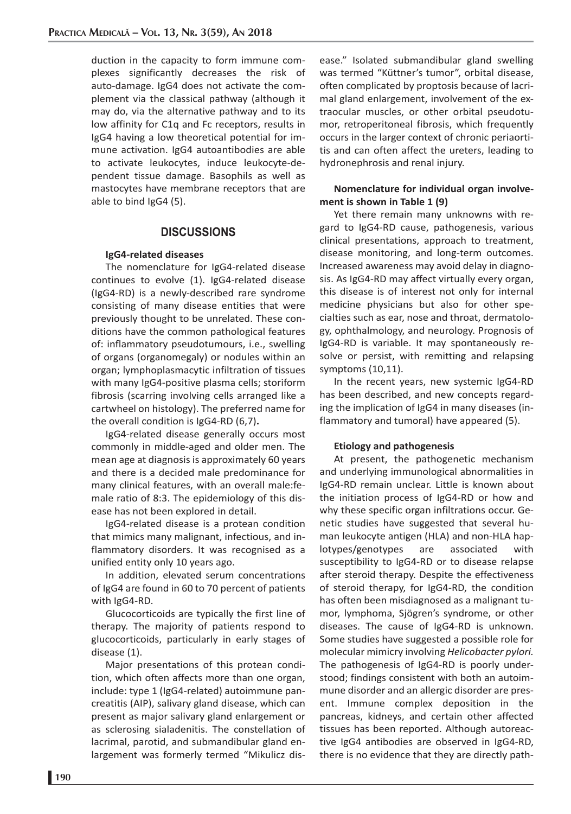duction in the capacity to form immune complexes significantly decreases the risk of auto-damage. IgG4 does not activate the complement via the classical pathway (although it may do, via the alternative pathway and to its low affinity for C1q and Fc receptors, results in IgG4 having a low theoretical potential for immune activation. IgG4 autoantibodies are able to activate leukocytes, induce leukocyte-dependent tissue damage. Basophils as well as mastocytes have membrane receptors that are able to bind IgG4 (5).

# **DISCUSSIONS**

#### **IgG4-related diseases**

The nomenclature for IgG4-related disease continues to evolve (1). IgG4-related disease (IgG4-RD) is a newly-described rare syndrome consisting of many disease entities that were previously thought to be unrelated. These conditions have the common pathological features of: inflammatory pseudotumours, i.e., swelling of organs (organomegaly) or nodules within an organ; lymphoplasmacytic infiltration of tissues with many IgG4-positive plasma cells; storiform fibrosis (scarring involving cells arranged like a cartwheel on histology). The preferred name for the overall condition is IgG4-RD (6,7)**.** 

IgG4-related disease generally occurs most commonly in middle-aged and older men. The mean age at diagnosis is approximately 60 years and there is a decided male predominance for many clinical features, with an overall male:female ratio of 8:3. The epidemiology of this disease has not been explored in detail.

IgG4-related disease is a protean condition that mimics many malignant, infectious, and inflammatory disorders. It was recognised as a unified entity only 10 years ago.

In addition, elevated serum concentrations of IgG4 are found in 60 to 70 percent of patients with IgG4-RD.

Glucocorticoids are typically the first line of therapy. The majority of patients respond to glucocorticoids, particularly in early stages of disease (1).

Major presentations of this protean condition, which often affects more than one organ, include: type 1 (IgG4-related) autoimmune pancreatitis (AIP), salivary gland disease, which can present as major salivary gland enlargement or as sclerosing sialadenitis. The constellation of lacrimal, parotid, and submandibular gland enlargement was formerly termed "Mikulicz disease." Isolated submandibular gland swelling was termed "Küttner's tumor", orbital disease, often complicated by proptosis because of lacrimal gland enlargement, involvement of the extraocular muscles, or other orbital pseudotumor, retroperitoneal fibrosis, which frequently occurs in the larger context of chronic periaortitis and can often affect the ureters, leading to hydronephrosis and renal injury.

## **Nomenclature for individual organ involvement is shown in Table 1 (9)**

Yet there remain many unknowns with regard to IgG4-RD cause, pathogenesis, various clinical presentations, approach to treatment, disease monitoring, and long-term outcomes. Increased awareness may avoid delay in diagnosis. As IgG4-RD may affect virtually every organ, this disease is of interest not only for internal medicine physicians but also for other specialties such as ear, nose and throat, dermatology, ophthalmology, and neurology. Prognosis of IgG4-RD is variable. It may spontaneously resolve or persist, with remitting and relapsing symptoms (10,11).

In the recent years, new systemic IgG4-RD has been described, and new concepts regarding the implication of IgG4 in many diseases (inflammatory and tumoral) have appeared (5).

#### **Etiology and pathogenesis**

At present, the pathogenetic mechanism and underlying immunological abnormalities in IgG4-RD remain unclear. Little is known about the initiation process of IgG4-RD or how and why these specific organ infiltrations occur. Genetic studies have suggested that several human leukocyte antigen (HLA) and non-HLA haplotypes/genotypes are associated with susceptibility to IgG4-RD or to disease relapse after steroid therapy. Despite the effectiveness of steroid therapy, for IgG4-RD, the condition has often been misdiagnosed as a malignant tumor, lymphoma, Sjögren's syndrome, or other diseases. The cause of IgG4-RD is unknown. Some studies have suggested a possible role for molecular mimicry involving *Helicobacter pylori.* The pathogenesis of IgG4-RD is poorly understood; findings consistent with both an autoimmune disorder and an allergic disorder are present. Immune complex deposition in the pancreas, kidneys, and certain other affected tissues has been reported. Although autoreactive IgG4 antibodies are observed in IgG4-RD, there is no evidence that they are directly path-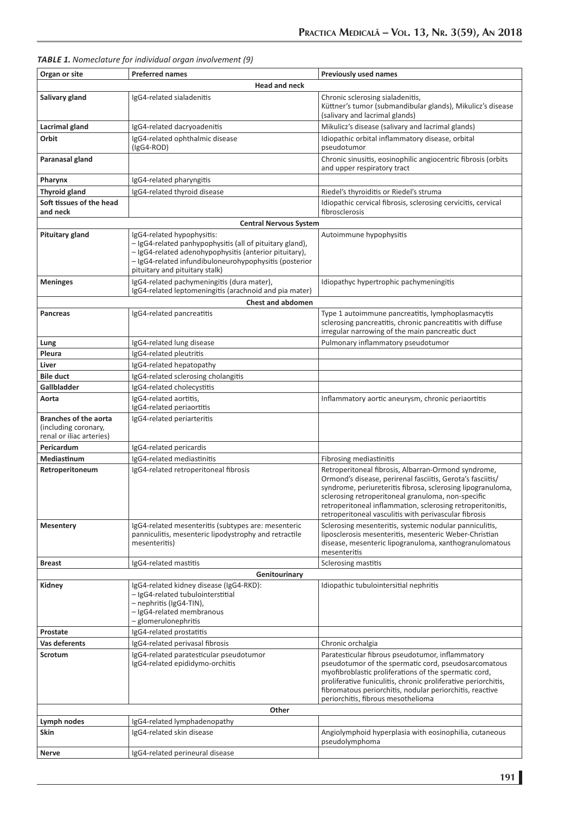| Organ or site<br><b>Preferred names</b><br><b>Previously used names</b><br><b>Head and neck</b><br>Chronic sclerosing sialadenitis,<br>Salivary gland<br>IgG4-related sialadenitis<br>Küttner's tumor (submandibular glands), Mikulicz's disease<br>(salivary and lacrimal glands)<br>Mikulicz's disease (salivary and lacrimal glands)<br>Lacrimal gland<br>IgG4-related dacryoadenitis<br>IgG4-related ophthalmic disease<br>Idiopathic orbital inflammatory disease, orbital<br>Orbit<br>$(lgG4-ROD)$<br>pseudotumor<br>Chronic sinusitis, eosinophilic angiocentric fibrosis (orbits<br>Paranasal gland<br>and upper respiratory tract<br>IgG4-related pharyngitis<br>Pharynx<br>IgG4-related thyroid disease<br><b>Thyroid gland</b><br>Riedel's thyroiditis or Riedel's struma<br>Soft tissues of the head<br>Idiopathic cervical fibrosis, sclerosing cervicitis, cervical<br>and neck<br>fibrosclerosis<br><b>Central Nervous System</b><br>IgG4-related hypophysitis:<br><b>Pituitary gland</b><br>Autoimmune hypophysitis<br>- IgG4-related panhypophysitis (all of pituitary gland),<br>- IgG4-related adenohypophysitis (anterior pituitary),<br>- IgG4-related infundibuloneurohypophysitis (posterior<br>pituitary and pituitary stalk)<br>IgG4-related pachymeningitis (dura mater),<br><b>Meninges</b><br>Idiopathyc hypertrophic pachymeningitis<br>IgG4-related leptomeningitis (arachnoid and pia mater)<br><b>Chest and abdomen</b><br>Pancreas<br>IgG4-related pancreatitis<br>Type 1 autoimmune pancreatitis, lymphoplasmacytis<br>sclerosing pancreatitis, chronic pancreatitis with diffuse<br>irregular narrowing of the main pancreatic duct<br>Pulmonary inflammatory pseudotumor<br>Lung<br>IgG4-related lung disease<br>Pleura<br>IgG4-related pleutritis<br>Liver<br>IgG4-related hepatopathy<br><b>Bile duct</b><br>IgG4-related sclerosing cholangitis<br>Gallbladder<br>IgG4-related cholecystitis<br>IgG4-related aortitis,<br>Aorta<br>Inflammatory aortic aneurysm, chronic periaortitis<br>IgG4-related periaortitis<br><b>Branches of the aorta</b><br>IgG4-related periarteritis<br>(including coronary,<br>renal or iliac arteries)<br>Pericardum<br>IgG4-related pericardis<br>Mediastinum<br>IgG4-related mediastinitis<br>Fibrosing mediastinitis<br>Retroperitoneal fibrosis, Albarran-Ormond syndrome,<br>Retroperitoneum<br>IgG4-related retroperitoneal fibrosis |  |  |  |
|-----------------------------------------------------------------------------------------------------------------------------------------------------------------------------------------------------------------------------------------------------------------------------------------------------------------------------------------------------------------------------------------------------------------------------------------------------------------------------------------------------------------------------------------------------------------------------------------------------------------------------------------------------------------------------------------------------------------------------------------------------------------------------------------------------------------------------------------------------------------------------------------------------------------------------------------------------------------------------------------------------------------------------------------------------------------------------------------------------------------------------------------------------------------------------------------------------------------------------------------------------------------------------------------------------------------------------------------------------------------------------------------------------------------------------------------------------------------------------------------------------------------------------------------------------------------------------------------------------------------------------------------------------------------------------------------------------------------------------------------------------------------------------------------------------------------------------------------------------------------------------------------------------------------------------------------------------------------------------------------------------------------------------------------------------------------------------------------------------------------------------------------------------------------------------------------------------------------------------------------------------------------------------------------------------------------------------------------------------------------------------------------------------------------|--|--|--|
|                                                                                                                                                                                                                                                                                                                                                                                                                                                                                                                                                                                                                                                                                                                                                                                                                                                                                                                                                                                                                                                                                                                                                                                                                                                                                                                                                                                                                                                                                                                                                                                                                                                                                                                                                                                                                                                                                                                                                                                                                                                                                                                                                                                                                                                                                                                                                                                                                 |  |  |  |
|                                                                                                                                                                                                                                                                                                                                                                                                                                                                                                                                                                                                                                                                                                                                                                                                                                                                                                                                                                                                                                                                                                                                                                                                                                                                                                                                                                                                                                                                                                                                                                                                                                                                                                                                                                                                                                                                                                                                                                                                                                                                                                                                                                                                                                                                                                                                                                                                                 |  |  |  |
|                                                                                                                                                                                                                                                                                                                                                                                                                                                                                                                                                                                                                                                                                                                                                                                                                                                                                                                                                                                                                                                                                                                                                                                                                                                                                                                                                                                                                                                                                                                                                                                                                                                                                                                                                                                                                                                                                                                                                                                                                                                                                                                                                                                                                                                                                                                                                                                                                 |  |  |  |
|                                                                                                                                                                                                                                                                                                                                                                                                                                                                                                                                                                                                                                                                                                                                                                                                                                                                                                                                                                                                                                                                                                                                                                                                                                                                                                                                                                                                                                                                                                                                                                                                                                                                                                                                                                                                                                                                                                                                                                                                                                                                                                                                                                                                                                                                                                                                                                                                                 |  |  |  |
|                                                                                                                                                                                                                                                                                                                                                                                                                                                                                                                                                                                                                                                                                                                                                                                                                                                                                                                                                                                                                                                                                                                                                                                                                                                                                                                                                                                                                                                                                                                                                                                                                                                                                                                                                                                                                                                                                                                                                                                                                                                                                                                                                                                                                                                                                                                                                                                                                 |  |  |  |
|                                                                                                                                                                                                                                                                                                                                                                                                                                                                                                                                                                                                                                                                                                                                                                                                                                                                                                                                                                                                                                                                                                                                                                                                                                                                                                                                                                                                                                                                                                                                                                                                                                                                                                                                                                                                                                                                                                                                                                                                                                                                                                                                                                                                                                                                                                                                                                                                                 |  |  |  |
|                                                                                                                                                                                                                                                                                                                                                                                                                                                                                                                                                                                                                                                                                                                                                                                                                                                                                                                                                                                                                                                                                                                                                                                                                                                                                                                                                                                                                                                                                                                                                                                                                                                                                                                                                                                                                                                                                                                                                                                                                                                                                                                                                                                                                                                                                                                                                                                                                 |  |  |  |
|                                                                                                                                                                                                                                                                                                                                                                                                                                                                                                                                                                                                                                                                                                                                                                                                                                                                                                                                                                                                                                                                                                                                                                                                                                                                                                                                                                                                                                                                                                                                                                                                                                                                                                                                                                                                                                                                                                                                                                                                                                                                                                                                                                                                                                                                                                                                                                                                                 |  |  |  |
|                                                                                                                                                                                                                                                                                                                                                                                                                                                                                                                                                                                                                                                                                                                                                                                                                                                                                                                                                                                                                                                                                                                                                                                                                                                                                                                                                                                                                                                                                                                                                                                                                                                                                                                                                                                                                                                                                                                                                                                                                                                                                                                                                                                                                                                                                                                                                                                                                 |  |  |  |
|                                                                                                                                                                                                                                                                                                                                                                                                                                                                                                                                                                                                                                                                                                                                                                                                                                                                                                                                                                                                                                                                                                                                                                                                                                                                                                                                                                                                                                                                                                                                                                                                                                                                                                                                                                                                                                                                                                                                                                                                                                                                                                                                                                                                                                                                                                                                                                                                                 |  |  |  |
|                                                                                                                                                                                                                                                                                                                                                                                                                                                                                                                                                                                                                                                                                                                                                                                                                                                                                                                                                                                                                                                                                                                                                                                                                                                                                                                                                                                                                                                                                                                                                                                                                                                                                                                                                                                                                                                                                                                                                                                                                                                                                                                                                                                                                                                                                                                                                                                                                 |  |  |  |
|                                                                                                                                                                                                                                                                                                                                                                                                                                                                                                                                                                                                                                                                                                                                                                                                                                                                                                                                                                                                                                                                                                                                                                                                                                                                                                                                                                                                                                                                                                                                                                                                                                                                                                                                                                                                                                                                                                                                                                                                                                                                                                                                                                                                                                                                                                                                                                                                                 |  |  |  |
|                                                                                                                                                                                                                                                                                                                                                                                                                                                                                                                                                                                                                                                                                                                                                                                                                                                                                                                                                                                                                                                                                                                                                                                                                                                                                                                                                                                                                                                                                                                                                                                                                                                                                                                                                                                                                                                                                                                                                                                                                                                                                                                                                                                                                                                                                                                                                                                                                 |  |  |  |
|                                                                                                                                                                                                                                                                                                                                                                                                                                                                                                                                                                                                                                                                                                                                                                                                                                                                                                                                                                                                                                                                                                                                                                                                                                                                                                                                                                                                                                                                                                                                                                                                                                                                                                                                                                                                                                                                                                                                                                                                                                                                                                                                                                                                                                                                                                                                                                                                                 |  |  |  |
|                                                                                                                                                                                                                                                                                                                                                                                                                                                                                                                                                                                                                                                                                                                                                                                                                                                                                                                                                                                                                                                                                                                                                                                                                                                                                                                                                                                                                                                                                                                                                                                                                                                                                                                                                                                                                                                                                                                                                                                                                                                                                                                                                                                                                                                                                                                                                                                                                 |  |  |  |
|                                                                                                                                                                                                                                                                                                                                                                                                                                                                                                                                                                                                                                                                                                                                                                                                                                                                                                                                                                                                                                                                                                                                                                                                                                                                                                                                                                                                                                                                                                                                                                                                                                                                                                                                                                                                                                                                                                                                                                                                                                                                                                                                                                                                                                                                                                                                                                                                                 |  |  |  |
|                                                                                                                                                                                                                                                                                                                                                                                                                                                                                                                                                                                                                                                                                                                                                                                                                                                                                                                                                                                                                                                                                                                                                                                                                                                                                                                                                                                                                                                                                                                                                                                                                                                                                                                                                                                                                                                                                                                                                                                                                                                                                                                                                                                                                                                                                                                                                                                                                 |  |  |  |
|                                                                                                                                                                                                                                                                                                                                                                                                                                                                                                                                                                                                                                                                                                                                                                                                                                                                                                                                                                                                                                                                                                                                                                                                                                                                                                                                                                                                                                                                                                                                                                                                                                                                                                                                                                                                                                                                                                                                                                                                                                                                                                                                                                                                                                                                                                                                                                                                                 |  |  |  |
|                                                                                                                                                                                                                                                                                                                                                                                                                                                                                                                                                                                                                                                                                                                                                                                                                                                                                                                                                                                                                                                                                                                                                                                                                                                                                                                                                                                                                                                                                                                                                                                                                                                                                                                                                                                                                                                                                                                                                                                                                                                                                                                                                                                                                                                                                                                                                                                                                 |  |  |  |
|                                                                                                                                                                                                                                                                                                                                                                                                                                                                                                                                                                                                                                                                                                                                                                                                                                                                                                                                                                                                                                                                                                                                                                                                                                                                                                                                                                                                                                                                                                                                                                                                                                                                                                                                                                                                                                                                                                                                                                                                                                                                                                                                                                                                                                                                                                                                                                                                                 |  |  |  |
|                                                                                                                                                                                                                                                                                                                                                                                                                                                                                                                                                                                                                                                                                                                                                                                                                                                                                                                                                                                                                                                                                                                                                                                                                                                                                                                                                                                                                                                                                                                                                                                                                                                                                                                                                                                                                                                                                                                                                                                                                                                                                                                                                                                                                                                                                                                                                                                                                 |  |  |  |
|                                                                                                                                                                                                                                                                                                                                                                                                                                                                                                                                                                                                                                                                                                                                                                                                                                                                                                                                                                                                                                                                                                                                                                                                                                                                                                                                                                                                                                                                                                                                                                                                                                                                                                                                                                                                                                                                                                                                                                                                                                                                                                                                                                                                                                                                                                                                                                                                                 |  |  |  |
|                                                                                                                                                                                                                                                                                                                                                                                                                                                                                                                                                                                                                                                                                                                                                                                                                                                                                                                                                                                                                                                                                                                                                                                                                                                                                                                                                                                                                                                                                                                                                                                                                                                                                                                                                                                                                                                                                                                                                                                                                                                                                                                                                                                                                                                                                                                                                                                                                 |  |  |  |
|                                                                                                                                                                                                                                                                                                                                                                                                                                                                                                                                                                                                                                                                                                                                                                                                                                                                                                                                                                                                                                                                                                                                                                                                                                                                                                                                                                                                                                                                                                                                                                                                                                                                                                                                                                                                                                                                                                                                                                                                                                                                                                                                                                                                                                                                                                                                                                                                                 |  |  |  |
| Ormond's disease, perirenal fasciitis, Gerota's fasciitis/<br>syndrome, periureteritis fibrosa, sclerosing lipogranuloma,<br>sclerosing retroperitoneal granuloma, non-specific<br>retroperitoneal inflammation, sclerosing retroperitonitis,<br>retroperitoneal vasculitis with perivascular fibrosis                                                                                                                                                                                                                                                                                                                                                                                                                                                                                                                                                                                                                                                                                                                                                                                                                                                                                                                                                                                                                                                                                                                                                                                                                                                                                                                                                                                                                                                                                                                                                                                                                                                                                                                                                                                                                                                                                                                                                                                                                                                                                                          |  |  |  |
| <b>Mesentery</b><br>IgG4-related mesenteritis (subtypes are: mesenteric<br>Sclerosing mesenteritis, systemic nodular panniculitis,<br>panniculitis, mesenteric lipodystrophy and retractile<br>liposclerosis mesenteritis, mesenteric Weber-Christian<br>disease, mesenteric lipogranuloma, xanthogranulomatous<br>mesenteritis)<br>mesenteritis                                                                                                                                                                                                                                                                                                                                                                                                                                                                                                                                                                                                                                                                                                                                                                                                                                                                                                                                                                                                                                                                                                                                                                                                                                                                                                                                                                                                                                                                                                                                                                                                                                                                                                                                                                                                                                                                                                                                                                                                                                                                |  |  |  |
| IgG4-related mastitis<br>Sclerosing mastitis<br><b>Breast</b>                                                                                                                                                                                                                                                                                                                                                                                                                                                                                                                                                                                                                                                                                                                                                                                                                                                                                                                                                                                                                                                                                                                                                                                                                                                                                                                                                                                                                                                                                                                                                                                                                                                                                                                                                                                                                                                                                                                                                                                                                                                                                                                                                                                                                                                                                                                                                   |  |  |  |
| Genitourinary                                                                                                                                                                                                                                                                                                                                                                                                                                                                                                                                                                                                                                                                                                                                                                                                                                                                                                                                                                                                                                                                                                                                                                                                                                                                                                                                                                                                                                                                                                                                                                                                                                                                                                                                                                                                                                                                                                                                                                                                                                                                                                                                                                                                                                                                                                                                                                                                   |  |  |  |
| IgG4-related kidney disease (IgG4-RKD):<br>Idiopathic tubulointersitial nephritis<br>Kidney<br>- IgG4-related tubulointerstitial<br>- nephritis (IgG4-TIN),<br>- IgG4-related membranous<br>- glomerulonephritis                                                                                                                                                                                                                                                                                                                                                                                                                                                                                                                                                                                                                                                                                                                                                                                                                                                                                                                                                                                                                                                                                                                                                                                                                                                                                                                                                                                                                                                                                                                                                                                                                                                                                                                                                                                                                                                                                                                                                                                                                                                                                                                                                                                                |  |  |  |
| Prostate<br>IgG4-related prostatitis                                                                                                                                                                                                                                                                                                                                                                                                                                                                                                                                                                                                                                                                                                                                                                                                                                                                                                                                                                                                                                                                                                                                                                                                                                                                                                                                                                                                                                                                                                                                                                                                                                                                                                                                                                                                                                                                                                                                                                                                                                                                                                                                                                                                                                                                                                                                                                            |  |  |  |
| Vas deferents<br>IgG4-related perivasal fibrosis<br>Chronic orchalgia                                                                                                                                                                                                                                                                                                                                                                                                                                                                                                                                                                                                                                                                                                                                                                                                                                                                                                                                                                                                                                                                                                                                                                                                                                                                                                                                                                                                                                                                                                                                                                                                                                                                                                                                                                                                                                                                                                                                                                                                                                                                                                                                                                                                                                                                                                                                           |  |  |  |
| Paratesticular fibrous pseudotumor, inflammatory<br>Scrotum<br>IgG4-related paratesticular pseudotumor<br>IgG4-related epididymo-orchitis<br>pseudotumor of the spermatic cord, pseudosarcomatous<br>myofibroblastic proliferations of the spermatic cord,<br>proliferative funiculitis, chronic proliferative periorchitis,<br>fibromatous periorchitis, nodular periorchitis, reactive<br>periorchitis, fibrous mesothelioma                                                                                                                                                                                                                                                                                                                                                                                                                                                                                                                                                                                                                                                                                                                                                                                                                                                                                                                                                                                                                                                                                                                                                                                                                                                                                                                                                                                                                                                                                                                                                                                                                                                                                                                                                                                                                                                                                                                                                                                  |  |  |  |
| Other                                                                                                                                                                                                                                                                                                                                                                                                                                                                                                                                                                                                                                                                                                                                                                                                                                                                                                                                                                                                                                                                                                                                                                                                                                                                                                                                                                                                                                                                                                                                                                                                                                                                                                                                                                                                                                                                                                                                                                                                                                                                                                                                                                                                                                                                                                                                                                                                           |  |  |  |
| Lymph nodes<br>IgG4-related lymphadenopathy<br>Skin<br>IgG4-related skin disease<br>Angiolymphoid hyperplasia with eosinophilia, cutaneous<br>pseudolymphoma                                                                                                                                                                                                                                                                                                                                                                                                                                                                                                                                                                                                                                                                                                                                                                                                                                                                                                                                                                                                                                                                                                                                                                                                                                                                                                                                                                                                                                                                                                                                                                                                                                                                                                                                                                                                                                                                                                                                                                                                                                                                                                                                                                                                                                                    |  |  |  |
| IgG4-related perineural disease<br>Nerve                                                                                                                                                                                                                                                                                                                                                                                                                                                                                                                                                                                                                                                                                                                                                                                                                                                                                                                                                                                                                                                                                                                                                                                                                                                                                                                                                                                                                                                                                                                                                                                                                                                                                                                                                                                                                                                                                                                                                                                                                                                                                                                                                                                                                                                                                                                                                                        |  |  |  |

## *TABLE 1. Nomeclature for individual organ involvement (9)*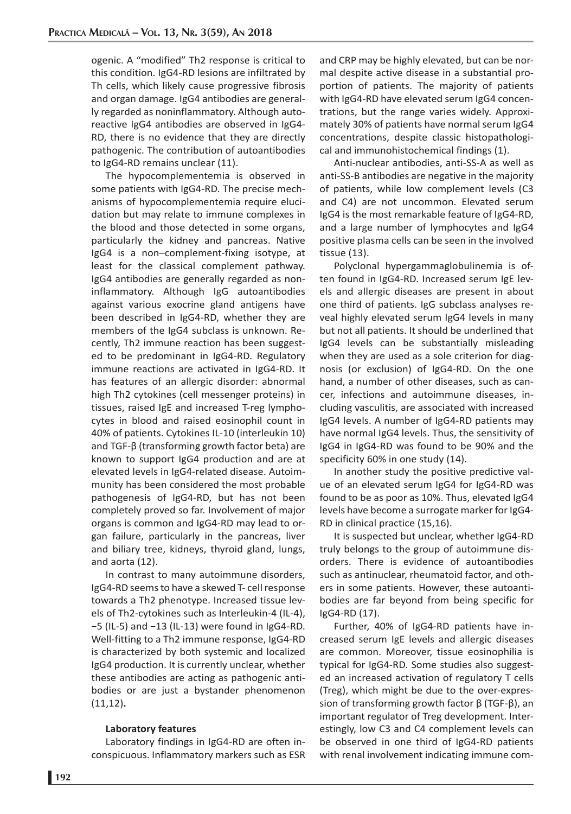ogenic. A "modified" Th2 response is critical to this condition. IgG4-RD lesions are infiltrated by Th cells, which likely cause progressive fibrosis and organ damage. IgG4 antibodies are generally regarded as noninflammatory. Although autoreactive IgG4 antibodies are observed in IgG4- RD, there is no evidence that they are directly pathogenic. The contribution of autoantibodies to IgG4-RD remains unclear (11).

The hypocomplementemia is observed in some patients with IgG4-RD. The precise mechanisms of hypocomplementemia require elucidation but may relate to immune complexes in the blood and those detected in some organs, particularly the kidney and pancreas. Native IgG4 is a non–complement-fixing isotype, at least for the classical complement pathway. IgG4 antibodies are generally regarded as noninflammatory. Although IgG autoantibodies against various exocrine gland antigens have been described in IgG4-RD, whether they are members of the IgG4 subclass is unknown. Recently, Th2 immune reaction has been suggested to be predominant in IgG4-RD. Regulatory immune reactions are activated in IgG4-RD. It has features of an allergic disorder: abnormal high Th2 cytokines (cell messenger proteins) in tissues, raised IgE and increased T-reg lymphocytes in blood and raised eosinophil count in 40% of patients. Cytokines IL-10 (interleukin 10) and TGF-β (transforming growth factor beta) are known to support IgG4 production and are at elevated levels in IgG4-related disease. Autoimmunity has been considered the most probable pathogenesis of IgG4-RD, but has not been completely proved so far. Involvement of major organs is common and IgG4-RD may lead to organ failure, particularly in the pancreas, liver and biliary tree, kidneys, thyroid gland, lungs, and aorta (12).

In contrast to many autoimmune disorders, IgG4-RD seems to have a skewed T- cell response towards a Th2 phenotype. Increased tissue levels of Th2-cytokines such as Interleukin-4 (IL-4), −5 (IL-5) and −13 (IL-13) were found in IgG4-RD. Well-fitting to a Th2 immune response, IgG4-RD is characterized by both systemic and localized IgG4 production. It is currently unclear, whether these antibodies are acting as pathogenic antibodies or are just a bystander phenomenon (11,12)**.**

#### **Laboratory features**

Laboratory findings in IgG4-RD are often inconspicuous. Inflammatory markers such as ESR and CRP may be highly elevated, but can be normal despite active disease in a substantial proportion of patients. The majority of patients with IgG4-RD have elevated serum IgG4 concentrations, but the range varies widely. Approximately 30% of patients have normal serum IgG4 concentrations, despite classic histopathological and immunohistochemical findings (1).

Anti-nuclear antibodies, anti-SS-A as well as anti-SS-B antibodies are negative in the majority of patients, while low complement levels (C3 and C4) are not uncommon. Elevated serum IgG4 is the most remarkable feature of IgG4-RD, and a large number of lymphocytes and IgG4 positive plasma cells can be seen in the involved tissue (13).

Polyclonal hypergammaglobulinemia is often found in IgG4-RD. Increased serum IgE levels and allergic diseases are present in about one third of patients. IgG subclass analyses reveal highly elevated serum IgG4 levels in many but not all patients. It should be underlined that IgG4 levels can be substantially misleading when they are used as a sole criterion for diagnosis (or exclusion) of IgG4-RD. On the one hand, a number of other diseases, such as cancer, infections and autoimmune diseases, including vasculitis, are associated with increased IgG4 levels. A number of IgG4-RD patients may have normal IgG4 levels. Thus, the sensitivity of IgG4 in IgG4-RD was found to be 90% and the specificity 60% in one study (14).

In another study the positive predictive value of an elevated serum IgG4 for IgG4-RD was found to be as poor as 10%. Thus, elevated IgG4 levels have become a surrogate marker for IgG4- RD in clinical practice (15,16).

It is suspected but unclear, whether IgG4-RD truly belongs to the group of autoimmune disorders. There is evidence of autoantibodies such as antinuclear, rheumatoid factor, and others in some patients. However, these autoantibodies are far beyond from being specific for IgG4-RD (17).

Further, 40% of IgG4-RD patients have increased serum IgE levels and allergic diseases are common. Moreover, tissue eosinophilia is typical for IgG4-RD. Some studies also suggested an increased activation of regulatory T cells (Treg), which might be due to the over-expression of transforming growth factor β (TGF-β), an important regulator of Treg development. Interestingly, low C3 and C4 complement levels can be observed in one third of IgG4-RD patients with renal involvement indicating immune com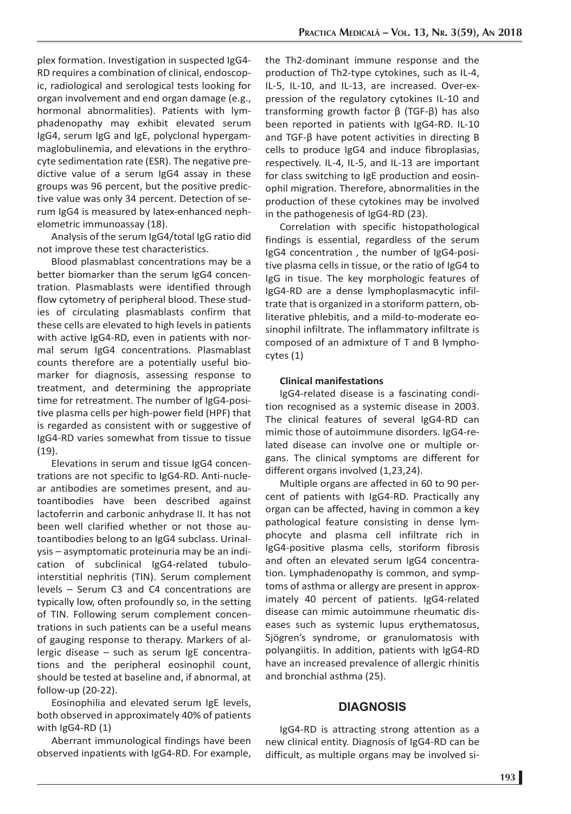plex formation. Investigation in suspected IgG4- RD requires a combination of clinical, endoscopic, radiological and serological tests looking for organ involvement and end organ damage (e.g., hormonal abnormalities). Patients with lymphadenopathy may exhibit elevated serum IgG4, serum IgG and IgE, polyclonal hypergammaglobulinemia, and elevations in the erythrocyte sedimentation rate (ESR). The negative predictive value of a serum IgG4 assay in these groups was 96 percent, but the positive predictive value was only 34 percent. Detection of serum IgG4 is measured by latex-enhanced nephelometric immunoassay (18).

Analysis of the serum IgG4/total IgG ratio did not improve these test characteristics.

Blood plasmablast concentrations may be a better biomarker than the serum IgG4 concentration. Plasmablasts were identified through flow cytometry of peripheral blood. These studies of circulating plasmablasts confirm that these cells are elevated to high levels in patients with active IgG4-RD, even in patients with normal serum IgG4 concentrations. Plasmablast counts therefore are a potentially useful biomarker for diagnosis, assessing response to treatment, and determining the appropriate time for retreatment. The number of IgG4-positive plasma cells per high-power field (HPF) that is regarded as consistent with or suggestive of IgG4-RD varies somewhat from tissue to tissue (19).

Elevations in serum and tissue IgG4 concentrations are not specific to IgG4-RD. Anti-nuclear antibodies are sometimes present, and autoantibodies have been described against lactoferrin and carbonic anhydrase II. It has not been well clarified whether or not those autoantibodies belong to an IgG4 subclass. Urinalysis – asymptomatic proteinuria may be an indication of subclinical IgG4-related tubulointerstitial nephritis (TIN). Serum complement levels – Serum C3 and C4 concentrations are typically low, often profoundly so, in the setting of TIN. Following serum complement concentrations in such patients can be a useful means of gauging response to therapy. Markers of allergic disease – such as serum IgE concentrations and the peripheral eosinophil count, should be tested at baseline and, if abnormal, at follow-up (20-22).

Eosinophilia and elevated serum IgE levels, both observed in approximately 40% of patients with IgG4-RD (1)

Aberrant immunological findings have been observed inpatients with IgG4-RD. For example,

the Th2-dominant immune response and the production of Th2-type cytokines, such as IL-4, IL-5, IL-10, and IL-13, are increased. Over-expression of the regulatory cytokines IL-10 and transforming growth factor β (TGF-β) has also been reported in patients with IgG4-RD. IL-10 and TGF-β have potent activities in directing B cells to produce IgG4 and induce fibroplasias, respectively. IL-4, IL-5, and IL-13 are important for class switching to IgE production and eosinophil migration. Therefore, abnormalities in the production of these cytokines may be involved in the pathogenesis of IgG4-RD (23).

Correlation with specific histopathological findings is essential, regardless of the serum IgG4 concentration , the number of IgG4-positive plasma cells in tissue, or the ratio of IgG4 to IgG in tisue. The key morphologic features of IgG4-RD are a dense lymphoplasmacytic infiltrate that is organized in a storiform pattern, obliterative phlebitis, and a mild-to-moderate eosinophil infiltrate. The inflammatory infiltrate is composed of an admixture of T and B lymphocytes (1)

## **Clinical manifestations**

IgG4-related disease is a fascinating condition recognised as a systemic disease in 2003. The clinical features of several IgG4-RD can mimic those of autoimmune disorders. IgG4-related disease can involve one or multiple organs. The clinical symptoms are different for different organs involved (1,23,24).

Multiple organs are affected in 60 to 90 percent of patients with IgG4-RD. Practically any organ can be affected, having in common a key pathological feature consisting in dense lymphocyte and plasma cell infiltrate rich in IgG4-positive plasma cells, storiform fibrosis and often an elevated serum IgG4 concentration. Lymphadenopathy is common, and symptoms of asthma or allergy are present in approximately 40 percent of patients. IgG4-related disease can mimic autoimmune rheumatic diseases such as systemic lupus erythematosus, Sjögren's syndrome, or granulomatosis with polyangiitis. In addition, patients with IgG4-RD have an increased prevalence of allergic rhinitis and bronchial asthma (25).

## **DIAGNOSIS**

IgG4-RD is attracting strong attention as a new clinical entity. Diagnosis of IgG4-RD can be difficult, as multiple organs may be involved si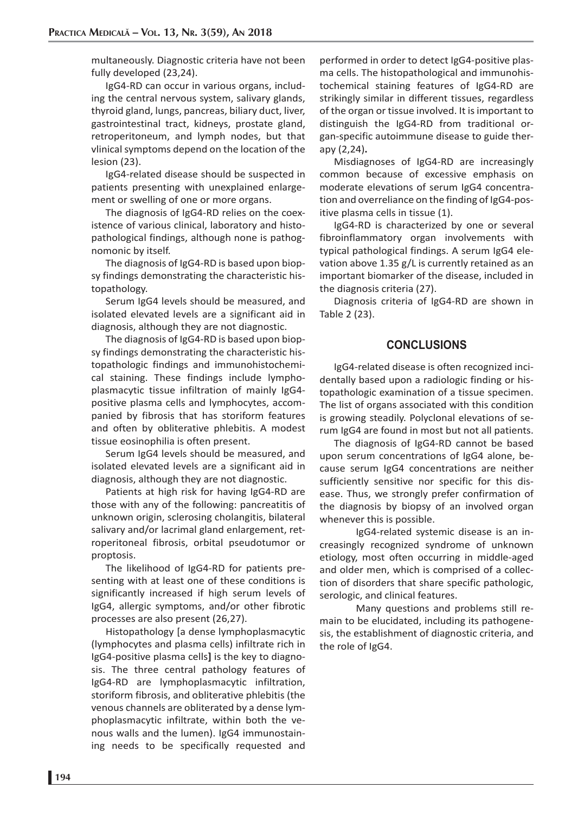multaneously. Diagnostic criteria have not been fully developed (23,24).

IgG4-RD can occur in various organs, including the central nervous system, salivary glands, thyroid gland, lungs, pancreas, biliary duct, liver, gastrointestinal tract, kidneys, prostate gland, retroperitoneum, and lymph nodes, but that vlinical symptoms depend on the location of the lesion (23).

IgG4-related disease should be suspected in patients presenting with unexplained enlargement or swelling of one or more organs.

The diagnosis of IgG4-RD relies on the coexistence of various clinical, laboratory and histopathological findings, although none is pathognomonic by itself.

The diagnosis of IgG4-RD is based upon biopsy findings demonstrating the characteristic histopathology.

Serum IgG4 levels should be measured, and isolated elevated levels are a significant aid in diagnosis, although they are not diagnostic.

The diagnosis of IgG4-RD is based upon biopsy findings demonstrating the characteristic histopathologic findings and immunohistochemical staining. These findings include lymphoplasmacytic tissue infiltration of mainly IgG4 positive plasma cells and lymphocytes, accompanied by fibrosis that has storiform features and often by obliterative phlebitis. A modest tissue eosinophilia is often present.

Serum IgG4 levels should be measured, and isolated elevated levels are a significant aid in diagnosis, although they are not diagnostic.

Patients at high risk for having IgG4-RD are those with any of the following: pancreatitis of unknown origin, sclerosing cholangitis, bilateral salivary and/or lacrimal gland enlargement, retroperitoneal fibrosis, orbital pseudotumor or proptosis.

The likelihood of IgG4-RD for patients presenting with at least one of these conditions is significantly increased if high serum levels of IgG4, allergic symptoms, and/or other fibrotic processes are also present (26,27).

Histopathology [a dense lymphoplasmacytic (lymphocytes and plasma cells) infiltrate rich in IgG4-positive plasma cells**]** is the key to diagnosis. The three central pathology features of IgG4-RD are lymphoplasmacytic infiltration, storiform fibrosis, and obliterative phlebitis (the venous channels are obliterated by a dense lymphoplasmacytic infiltrate, within both the venous walls and the lumen). IgG4 immunostaining needs to be specifically requested and

performed in order to detect IgG4-positive plasma cells. The histopathological and immunohistochemical staining features of IgG4-RD are strikingly similar in different tissues, regardless of the organ or tissue involved. It is important to distinguish the IgG4-RD from traditional organ-specific autoimmune disease to guide therapy (2,24)**.** 

Misdiagnoses of IgG4-RD are increasingly common because of excessive emphasis on moderate elevations of serum IgG4 concentration and overreliance on the finding of IgG4-positive plasma cells in tissue (1).

IgG4-RD is characterized by one or several fibroinflammatory organ involvements with typical pathological findings. A serum IgG4 elevation above 1.35 g/L is currently retained as an important biomarker of the disease, included in the diagnosis criteria (27).

Diagnosis criteria of IgG4-RD are shown in Table 2 (23).

# **CONCLUSIONS**

IgG4-related disease is often recognized incidentally based upon a radiologic finding or histopathologic examination of a tissue specimen. The list of organs associated with this condition is growing steadily. Polyclonal elevations of serum IgG4 are found in most but not all patients.

The diagnosis of IgG4-RD cannot be based upon serum concentrations of IgG4 alone, because serum IgG4 concentrations are neither sufficiently sensitive nor specific for this disease. Thus, we strongly prefer confirmation of the diagnosis by biopsy of an involved organ whenever this is possible.

 IgG4-related systemic disease is an increasingly recognized syndrome of unknown etiology, most often occurring in middle-aged and older men, which is comprised of a collection of disorders that share specific pathologic, serologic, and clinical features.

 Many questions and problems still remain to be elucidated, including its pathogenesis, the establishment of diagnostic criteria, and the role of IgG4.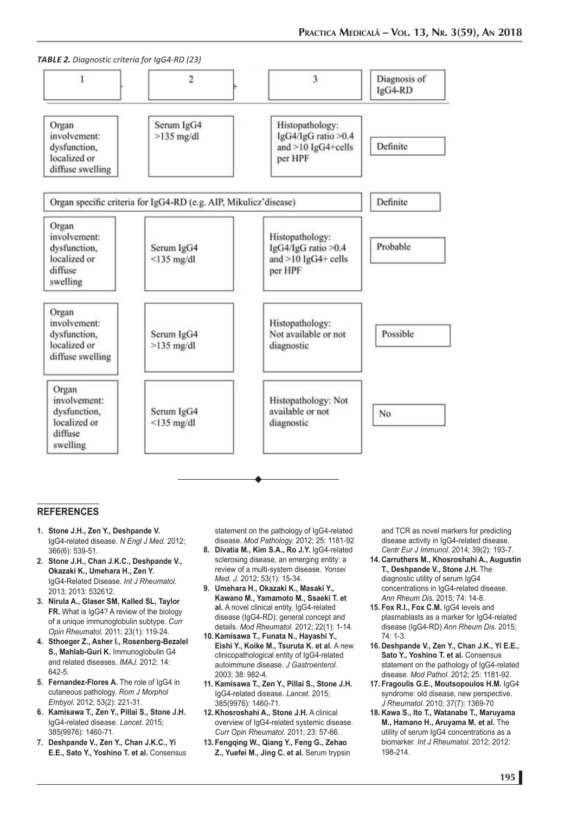*TABLE 2. Diagnostic criteria for IgG4-RD (23)*



#### **REFERENCES**

- **1. Stone J.H., Zen Y., Deshpande V.** IgG4-related disease. *N Engl J Med.* 2012; 366(6): 539-51.
- **2. Stone J.H., Chan J.K.C., Deshpande V., Okazaki K., Umehara H., Zen Y.** IgG4-Related Disease. *Int J Rheumatol.* 2013; 2013: 532612.
- **3. Nirula A., Glaser SM, Kalled SL, Taylor FR.** What is IgG4? A review of the biology of a unique immunoglobulin subtype. *Curr Opin Rheumatol.* 2011; 23(1): 119-24.
- **4. Sthoeger Z., Asher I., Rosenberg-Bezalel S., Mahlab-Guri K.** Immunoglobulin G4 and related diseases. *IMAJ.* 2012; 14: 642-5.
- **5. Fernandez-Flores A.** The role of IgG4 in cutaneous pathology. *Rom J Morphol Embyol.* 2012; 53(2): 221-31.
- **6. Kamisawa T., Zen Y., Pillai S., Stone J.H.** IgG4-related disease. *Lancet.* 2015; 385(9976): 1460-71.
- **7. Deshpande V., Zen Y., Chan J.K.C., Yi E.E., Sato Y., Yoshino T. et al.** Consensus

statement on the pathology of IgG4-related disease. *Mod Pathology.* 2012; 25: 1181-92

- **8. Divatia M., Kim S.A., Ro J.Y.** IgG4-related sclerosing disease, an emerging entity: a review of a multi-system disease. *Yonsei Med. J.* 2012; 53(1): 15-34.
- **9. Umehara H., Okazaki K., Masaki Y., Kawano M., Yamamoto M., Ssaeki T. et al.** A novel clinical entity, IgG4-related disease (IgG4-RD): general concept and details. *Mod Rheumatol.* 2012; 22(1): 1-14.
- **10. Kamisawa T., Funata N., Hayashi Y., Eishi Y., Koike M., Tsuruta K. et al.** A new clinicopathological entity of IgG4-related autoimmune disease. *J Gastroenterol.* 2003; 38: 982-4.
- **11. Kamisawa T., Zen Y., Pillai S., Stone J.H.** IgG4-related disease. *Lancet.* 2015; 385(9976): 1460-71.
- **12. Khosroshahi A., Stone J.H.** A clinical overview of IgG4-related systemic disease. *Curr Opin Rheumatol.* 2011; 23: 57-66.
- **13. Fengqing W., Qiang Y., Feng G., Zehao Z., Yuefei M., Jing C. et al.** Serum trypsin

and TCR as novel markers for predicting disease activity in IgG4-related disease. *Centr Eur J Immunol.* 2014; 39(2): 193-7.

- **14. Carruthers M., Khosroshahi A., Augustin T., Deshpande V., Stone J.H.** The diagnostic utility of serum IgG4 concentrations in IgG4-related disease. *Ann Rheum Dis.* 2015; 74: 14-8.
- **15. Fox R.I., Fox C.M.** IgG4 levels and plasmablasts as a marker for IgG4-related disease (IgG4-RD) *Ann Rheum Dis.* 2015; 74: 1-3.
- **16. Deshpande V., Zen Y., Chan J.K., Yi E.E.,**  Sato Y., Yoshino T. et al. Consensus statement on the pathology of IgG4-related disease. *Mod Pathol.* 2012; 25: 1181-92.
- **17. Fragoulis G.E., Moutsopoulos H.M.** IgG4 syndrome: old disease, new perspective. *J Rheumatol.* 2010; 37(7): 1369-70
- **18. Kawa S., Ito T., Watanabe T., Maruyama M., Hamano H., Aruyama M. et al.** The utility of serum IgG4 concentrations as a biomarker. *Int J Rheumatol.* 2012; 2012: 198-214.